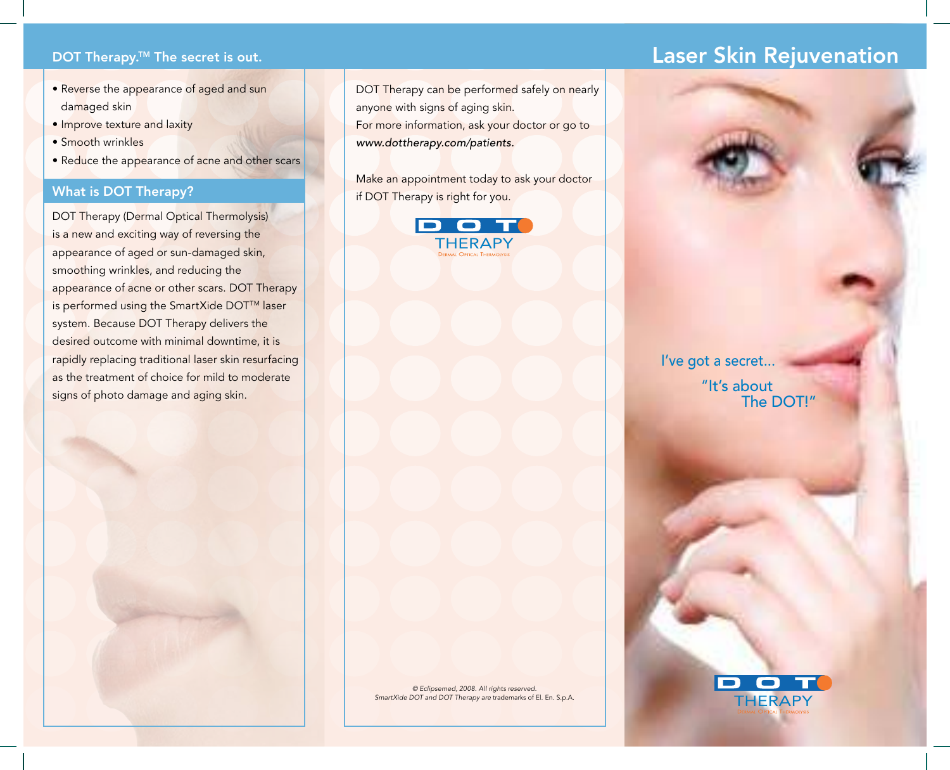## **DOT Therapy.<sup>™</sup> The secret is out.**

- Reverse the appearance of aged and sun damaged skin
- Improve texture and laxity
- Smooth wrinkles
- Reduce the appearance of acne and other scars

### What is DOT Therapy?

DOT Therapy (Dermal Optical Thermolysis) is a new and exciting way of reversing the appearance of aged or sun-damaged skin, smoothing wrinkles, and reducing the appearance of acne or other scars. DOT Therapy is performed using the SmartXide DOT<sup>™</sup> laser system. Because DOT Therapy delivers the desired outcome with minimal downtime, it is rapidly replacing traditional laser skin resurfacing as the treatment of choice for mild to moderate signs of photo damage and aging skin.

DOT Therapy can be performed safely on nearly anyone with signs of aging skin. For more information, ask your doctor or go to www.dottherapy.com/patients.

Make an appointment today to ask your doctor if DOT Therapy is right for you.



# Laser Skin Rejuvenation



© Eclipsemed, 2008. All rights reserved. SmartXide DOT and DOT Therapy are trademarks of El. En. S.p.A.